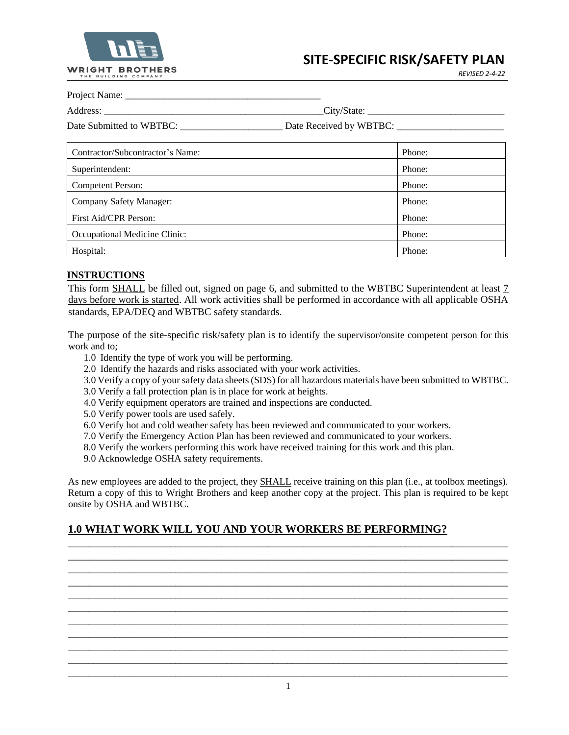

*REVISED 2-4-22*

Project Name:

| Address:                                         |                                                                                                                                                                                                                                                                                                                                                                                                                                                                                                                                                                                                                                                                        |  |
|--------------------------------------------------|------------------------------------------------------------------------------------------------------------------------------------------------------------------------------------------------------------------------------------------------------------------------------------------------------------------------------------------------------------------------------------------------------------------------------------------------------------------------------------------------------------------------------------------------------------------------------------------------------------------------------------------------------------------------|--|
| $\Gamma_{\alpha\beta\alpha}$ Cubmitted to WDTDC. | $\Gamma$ <sub>0<sup>to</sup></sub> $\Gamma$ <sub>000</sub> $\Gamma$ <sub>110</sub> $\Gamma$ <sub>1</sub> <sub>1</sub> $\Gamma$ <sub>1</sub> <sup>1</sup> <sub>1</sub> <sub>1</sub> <sup>1</sup> <sub>1</sub> <sup>1</sup> <sub>1</sub> <sup>1</sup> <sub>1</sub> <sup>1</sup> <sub>1</sub> <sup>1</sup> <sub>1</sub> <sup>1</sup> <sub>1</sub> <sup>1</sup> <sup>1</sup> <sub>1</sub> <sup>1</sup> <sup>1</sup> <sub>1</sub> <sup>1</sup> <sup>1</sup> <sub>1</sub> <sup>1</sup> <sup>1</sup> <sup>1</sup> <sub>1</sub> <sup>1</sup> <sup>1</sup> <sup>1</sup> <sup>1</sup> <sup>1</sup> <sup>1</sup> <sup>1</sup> <sup>1</sup> <sup>1</sup> <sup>1</sup> <sup>2</sup> |  |

Date Submitted to WBTBC: \_\_\_\_\_\_\_\_\_\_\_\_\_\_\_\_\_\_\_\_\_ Date Received by WBTBC: \_\_\_\_\_\_\_\_\_\_\_\_\_\_\_\_\_\_\_\_\_\_

| Contractor/Subcontractor's Name: | Phone: |
|----------------------------------|--------|
| Superintendent:                  | Phone: |
| Competent Person:                | Phone: |
| Company Safety Manager:          | Phone: |
| First Aid/CPR Person:            | Phone: |
| Occupational Medicine Clinic:    | Phone: |
| Hospital:                        | Phone: |

## **INSTRUCTIONS**

This form SHALL be filled out, signed on page 6, and submitted to the WBTBC Superintendent at least 7 days before work is started. All work activities shall be performed in accordance with all applicable OSHA standards, EPA/DEQ and WBTBC safety standards.

The purpose of the site-specific risk/safety plan is to identify the supervisor/onsite competent person for this work and to;

- 1.0 Identify the type of work you will be performing.
- 2.0 Identify the hazards and risks associated with your work activities.
- 3.0 Verify a copy of your safety data sheets (SDS) for all hazardous materials have been submitted to WBTBC.
- 3.0 Verify a fall protection plan is in place for work at heights.
- 4.0 Verify equipment operators are trained and inspections are conducted.
- 5.0 Verify power tools are used safely.
- 6.0 Verify hot and cold weather safety has been reviewed and communicated to your workers.
- 7.0 Verify the Emergency Action Plan has been reviewed and communicated to your workers.
- 8.0 Verify the workers performing this work have received training for this work and this plan.
- 9.0 Acknowledge OSHA safety requirements.

As new employees are added to the project, they SHALL receive training on this plan (i.e., at toolbox meetings). Return a copy of this to Wright Brothers and keep another copy at the project. This plan is required to be kept onsite by OSHA and WBTBC.

\_\_\_\_\_\_\_\_\_\_\_\_\_\_\_\_\_\_\_\_\_\_\_\_\_\_\_\_\_\_\_\_\_\_\_\_\_\_\_\_\_\_\_\_\_\_\_\_\_\_\_\_\_\_\_\_\_\_\_\_\_\_\_\_\_\_\_\_\_\_\_\_\_\_\_\_\_\_\_\_\_\_\_\_\_\_ \_\_\_\_\_\_\_\_\_\_\_\_\_\_\_\_\_\_\_\_\_\_\_\_\_\_\_\_\_\_\_\_\_\_\_\_\_\_\_\_\_\_\_\_\_\_\_\_\_\_\_\_\_\_\_\_\_\_\_\_\_\_\_\_\_\_\_\_\_\_\_\_\_\_\_\_\_\_\_\_\_\_\_\_\_\_ \_\_\_\_\_\_\_\_\_\_\_\_\_\_\_\_\_\_\_\_\_\_\_\_\_\_\_\_\_\_\_\_\_\_\_\_\_\_\_\_\_\_\_\_\_\_\_\_\_\_\_\_\_\_\_\_\_\_\_\_\_\_\_\_\_\_\_\_\_\_\_\_\_\_\_\_\_\_\_\_\_\_\_\_\_\_ \_\_\_\_\_\_\_\_\_\_\_\_\_\_\_\_\_\_\_\_\_\_\_\_\_\_\_\_\_\_\_\_\_\_\_\_\_\_\_\_\_\_\_\_\_\_\_\_\_\_\_\_\_\_\_\_\_\_\_\_\_\_\_\_\_\_\_\_\_\_\_\_\_\_\_\_\_\_\_\_\_\_\_\_\_\_ \_\_\_\_\_\_\_\_\_\_\_\_\_\_\_\_\_\_\_\_\_\_\_\_\_\_\_\_\_\_\_\_\_\_\_\_\_\_\_\_\_\_\_\_\_\_\_\_\_\_\_\_\_\_\_\_\_\_\_\_\_\_\_\_\_\_\_\_\_\_\_\_\_\_\_\_\_\_\_\_\_\_\_\_\_\_ \_\_\_\_\_\_\_\_\_\_\_\_\_\_\_\_\_\_\_\_\_\_\_\_\_\_\_\_\_\_\_\_\_\_\_\_\_\_\_\_\_\_\_\_\_\_\_\_\_\_\_\_\_\_\_\_\_\_\_\_\_\_\_\_\_\_\_\_\_\_\_\_\_\_\_\_\_\_\_\_\_\_\_\_\_\_ \_\_\_\_\_\_\_\_\_\_\_\_\_\_\_\_\_\_\_\_\_\_\_\_\_\_\_\_\_\_\_\_\_\_\_\_\_\_\_\_\_\_\_\_\_\_\_\_\_\_\_\_\_\_\_\_\_\_\_\_\_\_\_\_\_\_\_\_\_\_\_\_\_\_\_\_\_\_\_\_\_\_\_\_\_\_ \_\_\_\_\_\_\_\_\_\_\_\_\_\_\_\_\_\_\_\_\_\_\_\_\_\_\_\_\_\_\_\_\_\_\_\_\_\_\_\_\_\_\_\_\_\_\_\_\_\_\_\_\_\_\_\_\_\_\_\_\_\_\_\_\_\_\_\_\_\_\_\_\_\_\_\_\_\_\_\_\_\_\_\_\_\_ \_\_\_\_\_\_\_\_\_\_\_\_\_\_\_\_\_\_\_\_\_\_\_\_\_\_\_\_\_\_\_\_\_\_\_\_\_\_\_\_\_\_\_\_\_\_\_\_\_\_\_\_\_\_\_\_\_\_\_\_\_\_\_\_\_\_\_\_\_\_\_\_\_\_\_\_\_\_\_\_\_\_\_\_\_\_ \_\_\_\_\_\_\_\_\_\_\_\_\_\_\_\_\_\_\_\_\_\_\_\_\_\_\_\_\_\_\_\_\_\_\_\_\_\_\_\_\_\_\_\_\_\_\_\_\_\_\_\_\_\_\_\_\_\_\_\_\_\_\_\_\_\_\_\_\_\_\_\_\_\_\_\_\_\_\_\_\_\_\_\_\_\_

## **1.0 WHAT WORK WILL YOU AND YOUR WORKERS BE PERFORMING?**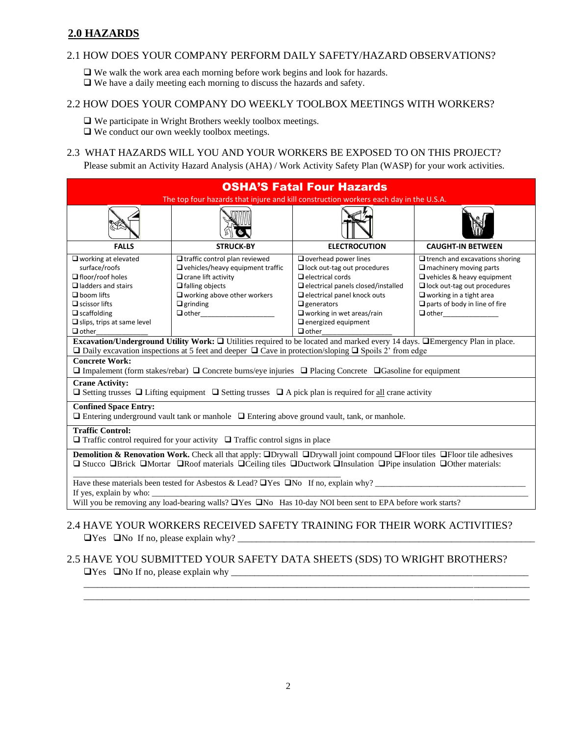## **2.0 HAZARDS**

### 2.1 HOW DOES YOUR COMPANY PERFORM DAILY SAFETY/HAZARD OBSERVATIONS?

❑ We walk the work area each morning before work begins and look for hazards.

❑ We have a daily meeting each morning to discuss the hazards and safety.

## 2.2 HOW DOES YOUR COMPANY DO WEEKLY TOOLBOX MEETINGS WITH WORKERS?

❑ We participate in Wright Brothers weekly toolbox meetings.

❑ We conduct our own weekly toolbox meetings.

#### 2.3 WHAT HAZARDS WILL YOU AND YOUR WORKERS BE EXPOSED TO ON THIS PROJECT?

Please submit an Activity Hazard Analysis (AHA) / Work Activity Safety Plan (WASP) for your work activities.

| <b>OSHA'S Fatal Four Hazards</b><br>The top four hazards that injure and kill construction workers each day in the U.S.A.                                                                                                                                                     |                                                                                                                                                                                                                     |                                                                                                                                                                                                                                                                                        |                                                                                                                                                                                                                      |
|-------------------------------------------------------------------------------------------------------------------------------------------------------------------------------------------------------------------------------------------------------------------------------|---------------------------------------------------------------------------------------------------------------------------------------------------------------------------------------------------------------------|----------------------------------------------------------------------------------------------------------------------------------------------------------------------------------------------------------------------------------------------------------------------------------------|----------------------------------------------------------------------------------------------------------------------------------------------------------------------------------------------------------------------|
|                                                                                                                                                                                                                                                                               |                                                                                                                                                                                                                     |                                                                                                                                                                                                                                                                                        |                                                                                                                                                                                                                      |
| <b>FALLS</b>                                                                                                                                                                                                                                                                  | <b>STRUCK-BY</b>                                                                                                                                                                                                    | <b>ELECTROCUTION</b>                                                                                                                                                                                                                                                                   | <b>CAUGHT-IN BETWEEN</b>                                                                                                                                                                                             |
| $\square$ working at elevated<br>surface/roofs<br>$\Box$ floor/roof holes<br>$\Box$ ladders and stairs<br>$\Box$ boom lifts<br>$\Box$ scissor lifts<br>$\Box$ scaffolding<br>$\Box$ slips, trips at same level<br>$\Box$ other                                                | $\Box$ traffic control plan reviewed<br>$\Box$ vehicles/heavy equipment traffic<br>$\Box$ crane lift activity<br>$\Box$ falling objects<br>$\square$ working above other workers<br>$\Box$ grinding<br>$\Box$ other | $\Box$ overhead power lines<br>$\Box$ lock out-tag out procedures<br>$\Box$ electrical cords<br>$\Box$ electrical panels closed/installed<br>$\Box$ electrical panel knock outs<br>$\Box$ generators<br>$\Box$ working in wet areas/rain<br>$\Box$ energized equipment<br>$\Box$ other | $\Box$ trench and excavations shoring<br>$\Box$ machinery moving parts<br>Vehicles & heavy equipment<br>$\Box$ lock out-tag out procedures<br>$\Box$ working in a tight area<br>$\Box$ parts of body in line of fire |
| Excavation/Underground Utility Work: □ Utilities required to be located and marked every 14 days. □Emergency Plan in place.<br>$\Box$ Daily excavation inspections at 5 feet and deeper $\Box$ Cave in protection/sloping $\Box$ Spoils 2' from edge                          |                                                                                                                                                                                                                     |                                                                                                                                                                                                                                                                                        |                                                                                                                                                                                                                      |
| <b>Concrete Work:</b><br>$\Box$ Impalement (form stakes/rebar) $\Box$ Concrete burns/eye injuries $\Box$ Placing Concrete $\Box$ Gasoline for equipment                                                                                                                       |                                                                                                                                                                                                                     |                                                                                                                                                                                                                                                                                        |                                                                                                                                                                                                                      |
| <b>Crane Activity:</b><br>$\Box$ Setting trusses $\Box$ Lifting equipment $\Box$ Setting trusses $\Box$ A pick plan is required for all crane activity                                                                                                                        |                                                                                                                                                                                                                     |                                                                                                                                                                                                                                                                                        |                                                                                                                                                                                                                      |
| <b>Confined Space Entry:</b><br>$\Box$ Entering underground vault tank or manhole $\Box$ Entering above ground vault, tank, or manhole.                                                                                                                                       |                                                                                                                                                                                                                     |                                                                                                                                                                                                                                                                                        |                                                                                                                                                                                                                      |
| <b>Traffic Control:</b><br>$\Box$ Traffic control required for your activity $\Box$ Traffic control signs in place                                                                                                                                                            |                                                                                                                                                                                                                     |                                                                                                                                                                                                                                                                                        |                                                                                                                                                                                                                      |
| <b>Demolition &amp; Renovation Work.</b> Check all that apply: $\Box$ Drywall $\Box$ Drywall joint compound $\Box$ Floor tiles $\Box$ Floor tile adhesives<br>□ Stucco □Brick □Mortar □Roof materials □Ceiling tiles □Ductwork □Insulation □Pipe insulation □Other materials: |                                                                                                                                                                                                                     |                                                                                                                                                                                                                                                                                        |                                                                                                                                                                                                                      |
| Have these materials been tested for Asbestos & Lead? $\Box$ Yes $\Box$ No If no, explain why?<br>If yes, explain by who:                                                                                                                                                     |                                                                                                                                                                                                                     |                                                                                                                                                                                                                                                                                        |                                                                                                                                                                                                                      |
| Will you be removing any load-bearing walls? TYes TNo Has 10-day NOI been sent to EPA before work starts?                                                                                                                                                                     |                                                                                                                                                                                                                     |                                                                                                                                                                                                                                                                                        |                                                                                                                                                                                                                      |

## 2.4 HAVE YOUR WORKERS RECEIVED SAFETY TRAINING FOR THEIR WORK ACTIVITIES?  $\Box$  Yes  $\Box$  No If no, please explain why?  $\Box$

# 2.5 HAVE YOU SUBMITTED YOUR SAFETY DATA SHEETS (SDS) TO WRIGHT BROTHERS?

\_\_\_\_\_\_\_\_\_\_\_\_\_\_\_\_\_\_\_\_\_\_\_\_\_\_\_\_\_\_\_\_\_\_\_\_\_\_\_\_\_\_\_\_\_\_\_\_\_\_\_\_\_\_\_\_\_\_\_\_\_\_\_\_\_\_\_\_\_\_\_\_\_\_\_\_\_\_\_\_\_\_\_\_\_\_\_\_\_\_\_\_\_\_\_\_ \_\_\_\_\_\_\_\_\_\_\_\_\_\_\_\_\_\_\_\_\_\_\_\_\_\_\_\_\_\_\_\_\_\_\_\_\_\_\_\_\_\_\_\_\_\_\_\_\_\_\_\_\_\_\_\_\_\_\_\_\_\_\_\_\_\_\_\_\_\_\_\_\_\_\_\_\_\_\_\_\_\_\_\_\_\_\_\_\_\_\_\_\_\_\_\_

 $\Box$  Yes  $\Box$  No If no, please explain why  $\Box$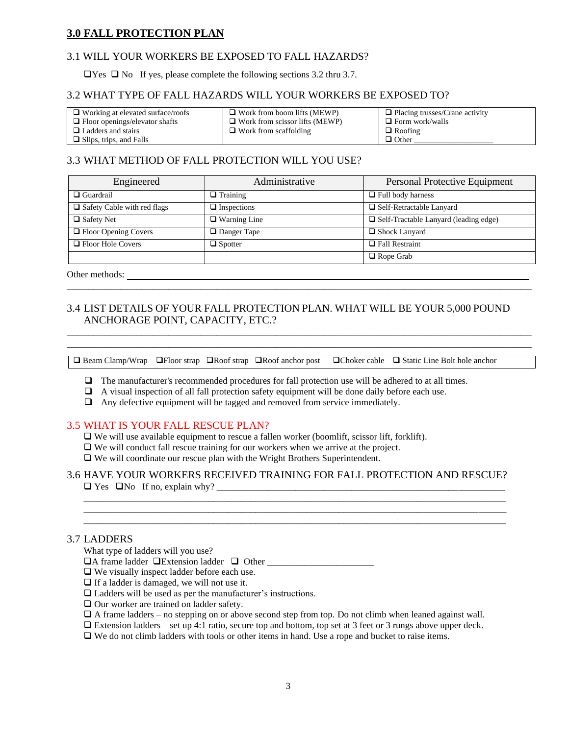## **3.0 FALL PROTECTION PLAN**

## 3.1 WILL YOUR WORKERS BE EXPOSED TO FALL HAZARDS?

 $\Box$  Yes  $\Box$  No If yes, please complete the following sections 3.2 thru 3.7.

### 3.2 WHAT TYPE OF FALL HAZARDS WILL YOUR WORKERS BE EXPOSED TO?

| $\Box$ Working at elevated surface/roofs | $\Box$ Work from boom lifts (MEWP)    | $\Box$ Placing trusses/Crane activity |
|------------------------------------------|---------------------------------------|---------------------------------------|
| $\Box$ Floor openings/elevator shafts    | $\Box$ Work from scissor lifts (MEWP) | $\Box$ Form work/walls                |
| $\Box$ Ladders and stairs                | $\Box$ Work from scaffolding          | $\Box$ Roofing                        |
| $\Box$ Slips, trips, and Falls           |                                       | $\Box$ Other                          |

## 3.3 WHAT METHOD OF FALL PROTECTION WILL YOU USE?

| Engineered                    | Administrative      | Personal Protective Equipment                |
|-------------------------------|---------------------|----------------------------------------------|
| $\Box$ Guardrail              | $\Box$ Training     | $\Box$ Full body harness                     |
| □ Safety Cable with red flags | $\Box$ Inspections  | $\Box$ Self-Retractable Lanyard              |
| $\Box$ Safety Net             | $\Box$ Warning Line | $\Box$ Self-Tractable Lanyard (leading edge) |
| □ Floor Opening Covers        | $\Box$ Danger Tape  | $\Box$ Shock Lanyard                         |
| $\Box$ Floor Hole Covers      | $\Box$ Spotter      | $\Box$ Fall Restraint                        |
|                               |                     | $\Box$ Rope Grab                             |

\_\_\_\_\_\_\_\_\_\_\_\_\_\_\_\_\_\_\_\_\_\_\_\_\_\_\_\_\_\_\_\_\_\_\_\_\_\_\_\_\_\_\_\_\_\_\_\_\_\_\_\_\_\_\_\_\_\_\_\_\_\_\_\_\_\_\_\_\_\_\_\_\_\_\_\_\_\_\_\_\_\_\_\_\_\_\_

\_\_\_\_\_\_\_\_\_\_\_\_\_\_\_\_\_\_\_\_\_\_\_\_\_\_\_\_\_\_\_\_\_\_\_\_\_\_\_\_\_\_\_\_\_\_\_\_\_\_\_\_\_\_\_\_\_\_\_\_\_\_\_\_\_\_\_\_\_\_\_\_\_\_\_\_\_\_\_\_\_\_\_\_\_\_\_ \_\_\_\_\_\_\_\_\_\_\_\_\_\_\_\_\_\_\_\_\_\_\_\_\_\_\_\_\_\_\_\_\_\_\_\_\_\_\_\_\_\_\_\_\_\_\_\_\_\_\_\_\_\_\_\_\_\_\_\_\_\_\_\_\_\_\_\_\_\_\_\_\_\_\_\_\_\_\_\_\_\_\_\_\_\_\_

Other methods:

## 3.4 LIST DETAILS OF YOUR FALL PROTECTION PLAN. WHAT WILL BE YOUR 5,000 POUND ANCHORAGE POINT, CAPACITY, ETC.?

❑ Beam Clamp/Wrap ❑Floor strap ❑Roof strap ❑Roof anchor post ❑Choker cable ❑ Static Line Bolt hole anchor

- ❑ The manufacturer's recommended procedures for fall protection use will be adhered to at all times.
- ❑ A visual inspection of all fall protection safety equipment will be done daily before each use.
- $\Box$  Any defective equipment will be tagged and removed from service immediately.

### 3.5 WHAT IS YOUR FALL RESCUE PLAN?

- ❑ We will use available equipment to rescue a fallen worker (boomlift, scissor lift, forklift).
- ❑ We will conduct fall rescue training for our workers when we arrive at the project.
- ❑ We will coordinate our rescue plan with the Wright Brothers Superintendent.

#### 3.6 HAVE YOUR WORKERS RECEIVED TRAINING FOR FALL PROTECTION AND RESCUE?  $\Box$  Yes  $\Box$  No If no, explain why?

 $\_$  ,  $\_$  ,  $\_$  ,  $\_$  ,  $\_$  ,  $\_$  ,  $\_$  ,  $\_$  ,  $\_$  ,  $\_$  ,  $\_$  ,  $\_$  ,  $\_$  ,  $\_$  ,  $\_$  ,  $\_$  ,  $\_$  ,  $\_$  ,  $\_$  ,  $\_$  ,  $\_$  ,  $\_$  ,  $\_$  ,  $\_$  ,  $\_$  ,  $\_$  ,  $\_$  ,  $\_$  ,  $\_$  ,  $\_$  ,  $\_$  ,  $\_$  ,  $\_$  ,  $\_$  ,  $\_$  ,  $\_$  ,  $\_$  , \_\_\_\_\_\_\_\_\_\_\_\_\_\_\_\_\_\_\_\_\_\_\_\_\_\_\_\_\_\_\_\_\_\_\_\_\_\_\_\_\_\_\_\_\_\_\_\_\_\_\_\_\_\_\_\_\_\_\_\_\_\_\_\_\_\_\_\_\_\_\_\_\_\_\_\_\_\_\_\_\_\_\_\_\_\_\_\_\_\_\_

#### 3.7 LADDERS

What type of ladders will you use?

- ❑A frame ladder ❑Extension ladder ❑ Other \_\_\_\_\_\_\_\_\_\_\_\_\_\_\_\_\_\_\_\_\_\_\_
- ❑ We visually inspect ladder before each use.
- ❑ If a ladder is damaged, we will not use it.
- ❑ Ladders will be used as per the manufacturer's instructions.
- ❑ Our worker are trained on ladder safety.
- $\Box$  A frame ladders no stepping on or above second step from top. Do not climb when leaned against wall.
- ❑ Extension ladders set up 4:1 ratio, secure top and bottom, top set at 3 feet or 3 rungs above upper deck.
- ❑ We do not climb ladders with tools or other items in hand. Use a rope and bucket to raise items.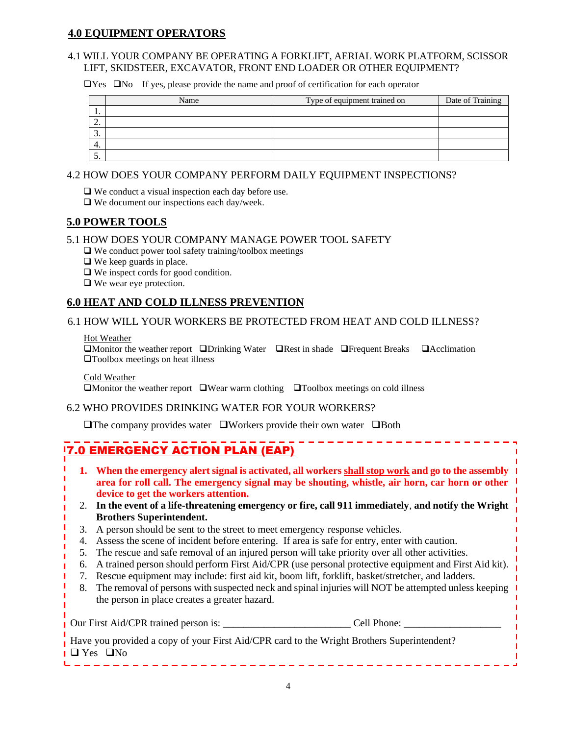## **4.0 EQUIPMENT OPERATORS**

## 4.1 WILL YOUR COMPANY BE OPERATING A FORKLIFT, AERIAL WORK PLATFORM, SCISSOR LIFT, SKIDSTEER, EXCAVATOR, FRONT END LOADER OR OTHER EQUIPMENT?

❑Yes ❑No If yes, please provide the name and proof of certification for each operator

|               | Name | Type of equipment trained on | Date of Training |
|---------------|------|------------------------------|------------------|
| . .           |      |                              |                  |
| <u>.</u>      |      |                              |                  |
| $\sim$<br>. ب |      |                              |                  |
| 4.            |      |                              |                  |
| J.            |      |                              |                  |

# 4.2 HOW DOES YOUR COMPANY PERFORM DAILY EQUIPMENT INSPECTIONS?

❑ We conduct a visual inspection each day before use.

❑ We document our inspections each day/week.

## **5.0 POWER TOOLS**

## 5.1 HOW DOES YOUR COMPANY MANAGE POWER TOOL SAFETY

 $\Box$  We conduct power tool safety training/toolbox meetings

- ❑ We keep guards in place.
- ❑ We inspect cords for good condition.
- ❑ We wear eye protection.

## **6.0 HEAT AND COLD ILLNESS PREVENTION**

## 6.1 HOW WILL YOUR WORKERS BE PROTECTED FROM HEAT AND COLD ILLNESS?

#### Hot Weather

❑Monitor the weather report ❑Drinking Water ❑Rest in shade ❑Frequent Breaks ❑Acclimation ❑Toolbox meetings on heat illness

Cold Weather

❑Monitor the weather report ❑Wear warm clothing ❑Toolbox meetings on cold illness

## 6.2 WHO PROVIDES DRINKING WATER FOR YOUR WORKERS?

❑The company provides water ❑Workers provide their own water ❑Both

# **7.0 EMERGENCY ACTION PLAN (EAP)**

- **1. When the emergency alert signal is activated, all workers shall stop work and go to the assembly area for roll call. The emergency signal may be shouting, whistle, air horn, car horn or other device to get the workers attention.**
- 2. **In the event of a life-threatening emergency or fire, call 911 immediately**, **and notify the Wright Brothers Superintendent.**
- 3. A person should be sent to the street to meet emergency response vehicles.
- 4. Assess the scene of incident before entering. If area is safe for entry, enter with caution.
- 5. The rescue and safe removal of an injured person will take priority over all other activities.
- 6. A trained person should perform First Aid/CPR (use personal protective equipment and First Aid kit).
- 7. Rescue equipment may include: first aid kit, boom lift, forklift, basket/stretcher, and ladders.
- 8. The removal of persons with suspected neck and spinal injuries will NOT be attempted unless keeping the person in place creates a greater hazard.

| Our First Aid/CPR trained person is: | Cell Phone:                                                                                |
|--------------------------------------|--------------------------------------------------------------------------------------------|
| $\Box$ $\bm{v}$ $\Box \bm{v}$        | Have you provided a copy of your First Aid/CPR card to the Wright Brothers Superintendent? |

❑ Yes ❑No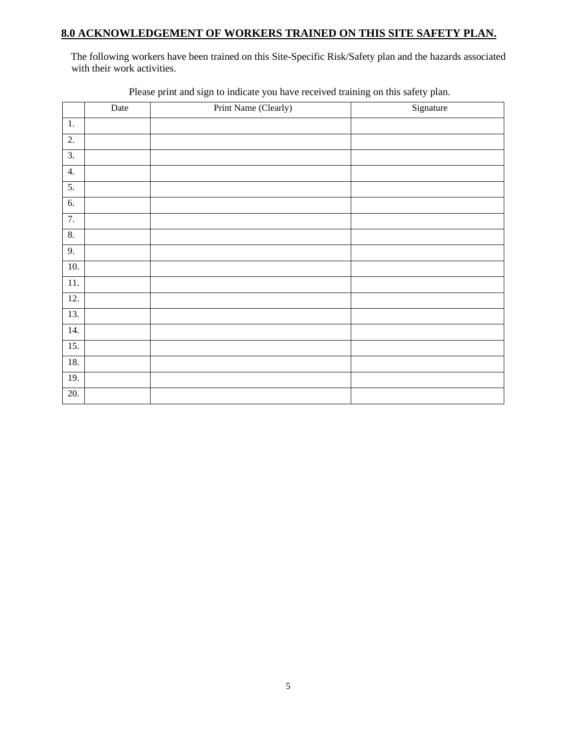# **8.0 ACKNOWLEDGEMENT OF WORKERS TRAINED ON THIS SITE SAFETY PLAN.**

The following workers have been trained on this Site-Specific Risk/Safety plan and the hazards associated with their work activities.

|                   | Date | Print Name (Clearly) | Signature |
|-------------------|------|----------------------|-----------|
| $1. \,$           |      |                      |           |
| 2.                |      |                      |           |
| 3.                |      |                      |           |
| 4.                |      |                      |           |
| 5.                |      |                      |           |
| 6.                |      |                      |           |
| 7.                |      |                      |           |
| 8.                |      |                      |           |
| 9.                |      |                      |           |
| 10.               |      |                      |           |
| $11. \,$          |      |                      |           |
| $\overline{12}$ . |      |                      |           |
| 13.               |      |                      |           |
| 14.               |      |                      |           |
| $\overline{15}$ . |      |                      |           |
| 18.               |      |                      |           |
| 19.               |      |                      |           |
| 20.               |      |                      |           |

Please print and sign to indicate you have received training on this safety plan.